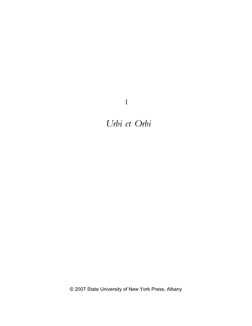I

# Urbi et Orbi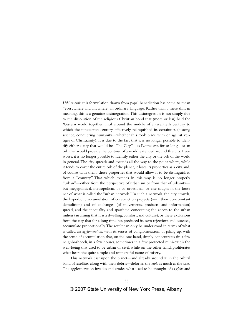*Urbi et orbi:* this formulation drawn from papal benediction has come to mean "everywhere and anywhere" in ordinary language. Rather than a mere shift in meaning, this is a genuine disintegration.This disintegration is not simply due to the dissolution of the religious Christian bond that (more or less) held the Western world together until around the middle of a twentieth century to which the nineteenth century effectively relinquished its certainties (history, science, conquering humanity—whether this took place with or against vestiges of Christianity). It is due to the fact that it is no longer possible to identify either a city that would be "The City"—as Rome was for so long—or an orb that would provide the contour of a world extended around this city. Even worse, it is no longer possible to identify either the city or the orb of the world in general.The city spreads and extends all the way to the point where, while it tends to cover the entire orb of the planet, it loses its properties as a city, and, of course with them, those properties that would allow it to be distinguished from a "country." That which extends in this way is no longer properly "urban"—either from the perspective of urbanism or from that of urbanity but megapolitical, metropolitan, or co-urbational, or else caught in the loose net of what is called the "urban network." In such a network, the city crowds, the hyperbolic accumulation of construction projects (with their concomitant demolition) and of exchanges (of movements, products, and information) spread, and the inequality and apartheid concerning the access to the urban milieu (assuming that it is a dwelling, comfort, and culture), or these exclusions from the city that for a long time has produced its own rejections and outcasts, accumulate proportionally.The result can only be understood in terms of what is called an *agglomeration*, with its senses of conglomeration, of piling up, with the sense of accumulation that, on the one hand, simply concentrates (in a few neighborhoods, in a few houses, sometimes in a few protected mini-cities) the well-being that used to be urban or civil, while on the other hand, proliferates what bears the quite simple and unmerciful name of misery.

This network cast upon the planet—and already around it, in the orbital band of satellites along with their debris—deforms the *orbis* as much as the *urbs*. The agglomeration invades and erodes what used to be thought of as *globe* and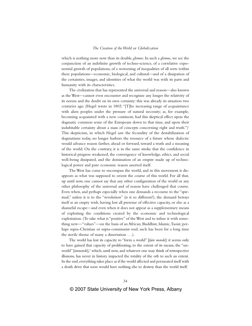which is nothing more now than its double,*glomus*. In such a *glomus*, we see the conjunction of an indefinite growth of techno-science, of a correlative exponential growth of populations, of a worsening of inequalities of all sorts within these populations—economic, biological, and cultural—and of a dissipation of the certainties, images, and identities of what the world was with its parts and humanity with its characteristics.

The civilization that has represented the universal and reason—also known as the West—cannot even encounter and recognize any longer the relativity of its norms and the doubt on its own certainty: this was already its situation two centuries ago. (Hegel wrote in 1802: "[T]he increasing range of acquaintance with alien peoples under the pressure of natural necessity; as, for example, becoming acquainted with a new continent, had this skeptical effect upon the dogmatic common sense of the Europeans down to that time, and upon their indubitable certainty about a mass of concepts concerning right and truth.") $\frac{1}{2}$ This skepticism, in which Hegel saw the fecundity of the destabilization of dogmatisms today, no longer harbors the resource of a future whose dialectic would advance reason farther, ahead or forward, toward a truth and a meaning of the world. On the contrary, it is in the same stroke that the confidence in historical progress weakened, the convergence of knowledge, ethics, and social well-being dissipated, and the domination of an empire made up of technological power and pure economic reason asserted itself.

The West has come to encompass the world, and in this movement it disappears as what was supposed to orient the course of this world. For all that, up until now, one cannot say that any other configuration of the world or any other philosophy of the universal and of reason have challenged that course. Even when, and perhaps especially when one demands a recourse to the "spiritual," unless it is to the "revolution" (is it so different?), the demand betrays itself as an empty wish, having lost all pretense of effective capacity, or else as a shameful escape—and even when it does not appear as a supplementary means of exploiting the conditions created by the economic and technological exploitation. (To take what is "positive" of the West and to infuse it with something new—"values"—on the basis of an African, Buddhist, Islamic,Taoist, perhaps supra-Christian or supra-communist soul, such has been for a long time the sterile theme of many a dissertation . . .).

The world has lost its capacity to "form a world" [*faire monde*]: it seems only to have gained that capacity of proliferating, to the extent of its means, the "unworld" [*immonde*],<sup>2</sup> which, until now, and whatever one may think of retrospective illusions, has never in history impacted the totality of the orb to such an extent. In the end, everything takes place as if the world affected and permeated itself with a death drive that soon would have nothing else to destroy than the world itself.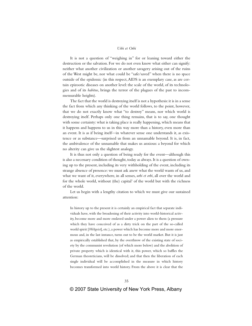It is not a question of "weighing in" for or leaning toward either the destruction or the salvation. For we do not even know what either can signify: neither what another civilization or another savagery arising out of the ruins of the West might be, nor what could be "safe/saved" when there is no space outside of the epidemic (in this respect,AIDS is an exemplary case, as are certain epizootic diseases on another level: the scale of the world, of its technologies and of its *habitus*, brings the terror of the plagues of the past to incommensurable heights).

The fact that the world is destroying itself is not a hypothesis: it is in a sense the fact from which any thinking of the world follows, to the point, however, that we do not exactly know what "to destroy" means, nor which world is destroying itself. Perhaps only one thing remains, that is to say, one thought with some certainty: what is taking place is really happening, which means that it happens and happens to us in this way more than a history, even more than an event. It is as if being itself—in whatever sense one understands it, as existence or as substance—surprised us from an unnamable beyond. It is, in fact, the ambivalence of the unnamable that makes us anxious: a beyond for which no alterity can give us the slightest analogy.

It is thus not only a question of being ready for the event—although this is also a necessary condition of thought, today as always. It is a question of owning up to the present, including its very withholding of the event, including its strange absence of presence: we must ask anew what the world wants of us, and what we want of it, everywhere, in all senses, *urbi et orbi*, all over the world and for the whole world, without (the) capital<sup>3</sup> of the world but with the richness of the world.

Let us begin with a lengthy citation to which we must give our sustained attention:

In history up to the present it is certainly an empirical fact that separate individuals have, with the broadening of their activity into world-historical activity, become more and more enslaved under a power alien to them (a pressure which they have conceived of as a dirty trick on the part of the so-called world spirit [*Weltgeist*], etc.), a power which has become more and more enormous and, in the last instance, turns out to be the world market. But it is just as empirically established that, by the overthrow of the existing state of society by the communist revolution (of which more below) and the abolition of private property which is identical with it, this power, which so baffles the German theoreticians, will be dissolved; and that then the liberation of each single individual will be accomplished in the measure in which history becomes transformed into world history. From the above it is clear that the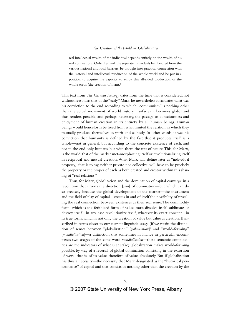real intellectual wealth of the individual depends entirely on the wealth of his real connections. Only then will the separate individuals be liberated from the various national and local barriers, be brought into practical connection with the material and intellectual production of the whole world and be put in a position to acquire the capacity to enjoy this all-sided production of the whole earth (the creation of man).<sup>4</sup>

This text from *The German Ideology* dates from the time that is considered, not without reason, as that of the "early" Marx: he nevertheless formulates what was his conviction to the end according to which "communism" is nothing other than the actual movement of world history insofar as it becomes global and thus renders possible, and perhaps necessary, the passage to consciousness and enjoyment of human creation in its entirety by all human beings. Human beings would henceforth be freed from what limited the relation in which they mutually produce themselves as spirit and as body. In other words, it was his conviction that humanity is defined by the fact that it produces itself as a whole—not in general, but according to the concrete existence of each, and not in the end only humans, but with them the rest of nature.This, for Marx, is the world: that of the market metamorphosing itself or revolutionalizing itself in reciprocal and mutual creation. What Marx will define later as "individual property," that is to say, neither private nor collective, will have to be precisely the property or the proper of each as both created and creator within this sharing of "real relations."

Thus, for Marx, globalization and the domination of capital converge in a revolution that inverts the direction [*sens*] of domination—but which can do so precisely because the global development of the market—the instrument and the field of play of capital—creates in and of itself the possibility of revealing the real connection between existences as their real sense.The commodity form, which is the fetishized form of value, must dissolve itself, sublimate or destroy itself—in any case revolutionize itself, whatever its exact concept—in its true form, which is not only the creation of value but value as creation.Transcribed in terms closer to our current linguistic usage (if we retain the distinction of senses between "globalization" [*globalisation*] <sup>5</sup> and "world-forming" [*mondialisation*]—a distinction that sometimes in France in particular encompasses two usages of the same word *mondialisation*—these semantic complexities are the indicators of what is at stake): globalization makes world-forming possible, by way of a reversal of global domination consisting in the extortion of work, that is, of its value, therefore of value, absolutely. But if globalization has thus a necessity—the necessity that Marx designated as the "historical performance" of capital and that consists in nothing other than the creation by the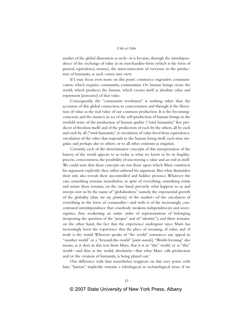market of the global dimension as such—it is because, through the interdependence of the exchange of value in its merchandise-form (which is the form of general equivalency, money), the interconnection of everyone in the production of humanity as such comes into view.

If I may focus even more on this point: commerce engenders communication, which requires community, communism. Or: human beings create the world, which produces the human, which creates itself as absolute value and enjoyment [*jouissance*] of that value.

Consequently, the "communist revolution" is nothing other than the accession of this global connection to consciousness and through it the liberation of value as the real value of our common production. It is the becomingconscious and the mastery in act of the self-production of human beings in the twofold sense of the production of human quality ("total humanity," free producer of freedom itself) and of the production of each by the others, all by each and each by all ("total humanity," as circulation of value freed from equivalence, circulation of the value that responds to the human being itself, each time singular, and perhaps also to others, or to all other existents as singular).

Certainly, each of the determinative concepts of this interpretation of the history of the world appears to us today as what we know to be its fragility: process, consciousness, the possibility of uncovering a value and an end in itself. We could note that these concepts are not those upon which Marx constructs his argument explicitly: they rather subtend his argument. But what diminishes their role also reveals their uncontrolled and hidden presence. Whatever the case, something remains nonetheless, in spite of everything, something resists and insists: there remains, on the one hand, precisely what happens to us and sweeps over us by the name of "globalization," namely, the exponential growth of the globality (dare we say *glomicity*) of the market—of the circulation of everything in the form of commodity—and with it of the increasingly concentrated interdependence that ceaselessly weakens independencies and sovereignties, thus weakening an entire order of representations of belonging (reopening the question of the "proper" and of "identity"); and there remains, on the other hand, the fact that the experience undergone since Marx has increasingly been the experience that the place of meaning, of value, and of truth is the world. Whoever speaks of "the world" renounces any appeal to "another world" or a "beyond-the-world" [*outre-monde*]."World-forming" also means, as it does in this text from Marx, that it is in "this" world, or as "this" world—and thus as the world, absolutely—that what Marx calls production and/or the creation of humanity, is being played out.<sup>6</sup>

Our difference with him nonetheless reappears on this very point: with him, "human" implicitly remains a teleological or eschatological term, if we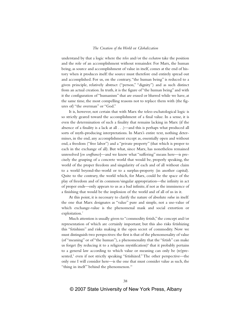understand by that a logic where the *telos* and/or the *eschaton* take the position and the role of an accomplishment without remainder. For Marx, the human being, as source and accomplishment of value in itself, comes at the end of history when it produces itself: the source must therefore end entirely spread out and accomplished. For us, on the contrary,"the human being" is reduced to a given principle, relatively abstract ("person," "dignity") and as such distinct from an actual creation. In truth, it is the figure of "the human being" and with it the configuration of "humanism" that are erased or blurred while we have, at the same time, the most compelling reasons not to replace them with (the figures of) "the overman" or "God."

It is, however, not certain that with Marx the teleo-eschatological logic is so strictly geared toward the accomplishment of a final value. In a sense, it is even the determination of such a finality that remains lacking in Marx (if the absence of a finality is a lack at all . . .)—and this is perhaps what produced all sorts of myth-producing interpretations. In Marx's entire text, nothing determines, in the end, any accomplishment except as, essentially open and without end, a freedom ("free labor") and a "private property" (that which is proper to each in the exchange of all). But what, since Marx, has nonetheless remained unresolved [*en souffrance*]—and we know what "suffering" means here—is precisely the grasping of a concrete world that would be, properly speaking, the world of the proper freedom and singularity of each and of all without claim to a world beyond-the-world or to a surplus-property (in another capital). Quite to the contrary, the world which, for Marx, could be the space of the play of freedom and of its common/singular appropriation—the infinity in act of proper ends—only appears to us as a bad infinite, if not as the imminence of a finishing that would be the implosion of the world and of all of us in it.

At this point, it is necessary to clarify the nature of absolute *value* in itself: the one that Marx designates as "value" pure and simple, not a use-value of which exchange-value is the phenomenal mask and social extortion or exploitation.<sup>7</sup>

Much attention is usually given to "commodity fetish," the concept and/or representation of which are certainly important; but this also risks fetishizing this "fetishism" and risks making it the open secret of commodity. Now we must distinguish two perspectives: the first is that of the phenomenality of value (of "meaning" or of "the human"), a phenomenality that the "fetish" can make us forget (by reducing it to a religious mystification)<sup>8</sup> that it probably pertains to a general law according to which value or meaning can only be (re)presented,<sup>9</sup> even if not strictly speaking "fetishized." The other perspective—the only one I will consider here—is the one that must consider value as such, the "thing in itself" behind the phenomenon.<sup>10</sup>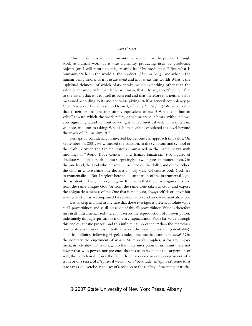Absolute value is, in fact, humanity incorporated in the product through work as human work. It is thus humanity producing itself by producing objects (or, I will return to this, creating itself by producing).<sup>11</sup> But what is humanity? What is the world as the product *of human beings*, and what is the human being insofar as it is *in the world* and as it *works* this world? What is the "spiritual richness" of which Marx speaks, which is nothing other than the value or meaning of human labor as human, that is to say, also,"free," but free to the extent that it is to itself its own end and that therefore it is neither value measured according to its use nor value giving itself as general equivalency (*it too is its own end*, but abstract and formal, a finality *for itself* . . .)? What is a value that is neither finalized nor simply equivalent to itself? What is a "human value" toward which the work refers, or whose trace it bears, without however signifying it and without covering it with a mystical veil? (This question, we note, amounts to asking:What is human value considered at a level beyond the reach of "humanism"?).<sup>12</sup>

Perhaps by considering its inverted figures one can approach this value. On September 11, 2001, we witnessed the collision, in the symptom and symbol of the clash, between the United States (summarized in the name, heavy with meaning, of "World Trade Center") and Islamic fanaticism, two figures of absolute value that are also—not surprisingly—two figures of monotheism. On the one hand, the God whose name is inscribed on the dollar, and on the other, the God in whose name one declares a "holy war." Of course, both Gods are instrumentalized. But I neglect here the examination of the instrumental logic that is latent, at least, in every religion. It remains that these two figures proceed from the same unique God (or from the same One taken as God) and expose the enigmatic sameness of the One that is, no doubt, always self-destructive: but self-destruction is accompanied by self-exaltation and an over-essentialization.

Let us keep in mind in any case that these two figures present absolute value as all-powerfulness and as all-presence of this all-powerfulness.Value is therefore first itself instrumentalized therein: it serves the reproduction of its own power, indefinitely, through spiritual or monetary capitalization. Value has value through this endless autistic process, and this infinite has no other *act* than the reproduction of its *potentiality* (thus in both senses of the word, power and potentiality). The "bad infinite," following Hegel, is indeed the one that cannot be *actual*.<sup>13</sup> On the contrary, the enjoyment of which Marx speaks, implies, as for any enjoyment, its actuality, that is to say, also the finite inscription of its infinity. It is not power that wills power, nor presence that insists in itself, but the suspension of will, the withdrawal, if not the fault, that marks enjoyment as enjoyment of a truth or of a sense, of a "spiritual wealth" or a "beatitude" in Spinoza's sense (that is to say, as an exercise, as the act of a relation to the totality of meaning or truth).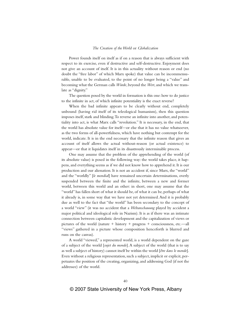Power founds itself on itself as if on a reason that is always sufficient with respect to its exercise, even if destructive and self-destructive. Enjoyment does not give an account of itself. It is in this actuality without reason or end (no doubt the "free labor" of which Marx spoke) that value can be incommensurable, unable to be evaluated, to the point of no longer being a "value" and becoming what the German calls *Würde*, beyond the *Wert*, and which we translate as "dignity."

The question posed by the world in formation is this one: how to do justice to the infinite in act, of which infinite potentiality is the exact reverse?

When the bad infinite appears to be clearly without end, completely unbound (having rid itself of its teleological humanism), then this question imposes itself, stark and blinding.To reverse an infinite into another, and potentiality into act, is what Marx calls "revolution." It is necessary, in the end, that the world has absolute value for itself—or else that it has no value whatsoever, as the two forms of all-powerfulness, which have nothing but contempt for the world, indicate. It is in the end necessary that the infinite reason that gives an account of itself allows the actual without-reason (or actual existence) to appear—or that it liquidates itself in its disastrously interminable process.

One may assume that the problem of the apprehending of the world (of its absolute value) is posed in the following way: the world takes place, it happens, and everything seems as if we did not know how to apprehend it. It is our production and our alienation. It is not an accident if, since Marx, the "world" and the "worldly" [*le mondial*] have remained uncertain determinations, overly suspended between the finite and the infinite, between a new and former world, between this world and an other: in short, one may assume that the "world" has fallen short of what it should be, of what it can be, perhaps of what it already is, in some way that we have not yet determined. And it is probably due as well to the fact that "the world" has been secondary to the concept of a world "view" (it was no accident that a *Weltanschauung* played by accident a major political and ideological role in Nazism). It is as if there was an intimate connection between capitalistic development and the capitalization of views or pictures of the world (nature + history + progress + consciousness, etc.—all "views" gathered in a picture whose composition henceforth is blurred and runs on the canvas).

A world "viewed," a represented world, is a world dependent on the gaze of a subject of the world [*sujet du monde*].A subject of the world (that is to say as well a subject of history) cannot itself be within the world [*être dans le monde*]. Even without a religious representation, such a subject, implicit or explicit, perpetuates the position of the creating, organizing, and addressing God (if not the addressee) of the world.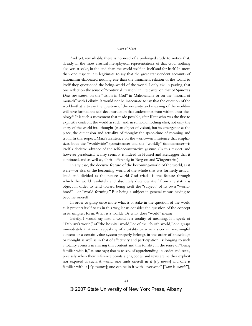And yet, remarkably, there is no need of a prolonged study to notice that, already in the most classical metaphysical representations of that God, nothing else was at stake, in the end, than the world itself, in itself and for itself. In more than one respect, it is legitimate to say that the great transcendent accounts of rationalism elaborated nothing else than the immanent relation of the world to itself: they questioned the being-world of the world. I only ask, in passing, that one reflect on the sense of "continual creation" in Descartes, on that of Spinoza's *Deus sive natura*, on the "vision in God" in Malebranche or on the "monad of monads" with Leibniz. It would not be inaccurate to say that the question of the world—that is to say, the question of the necessity and meaning of the world will have formed the self-deconstruction that undermines from within onto-theology.14 It is such a movement that made possible, after Kant who was the first to explicitly confront the world as such (and, in sum, did nothing else), not only the entry of the world into thought (as an object of vision), but its emergence as the place, the dimension and actuality, of thought: the space-time of meaning and truth. In this respect, Marx's insistence on the world—an insistence that emphasizes both the "worldwide" (coexistence) and the "worldly" (immanence)—is itself a decisive advance of the self-deconstructive gesture. (In this respect, and however paradoxical it may seem, it is indeed in Husserl and Heidegger that it continued, and as well as, albeit differently, in Bergson and Wittgenstein.)

In any case, the decisive feature of the becoming-world of the world, as it were—or else, of the becoming-world of the whole that was formerly articulated and divided as the nature-world-God triad—is the feature through which the world resolutely and absolutely distances itself from any status as object in order to tend toward being itself the "subject" of its own "worldhood"—or "world-forming." But being a subject in general means having to become oneself . . .

In order to grasp once more what is at stake in the question of the world as it presents itself to us in this way, let us consider the question of the concept in its simplest form:What is a world? Or what does "world" mean?

Briefly, I would say first: a world is a totality of meaning. If I speak of "Debussy's world," of "the hospital world," or of the "fourth world," one grasps immediately that one is speaking of a totality, to which a certain meaningful content or a certain value system properly belongs in the order of knowledge or thought as well as in that of affectivity and participation. Belonging to such a totality consists in sharing this content and this tonality in the sense of "being familiar with it," as one says; that is to say, of apprehending its codes and texts, precisely when their reference points, signs, codes, and texts are neither explicit nor exposed as such. A world: one finds oneself in it [*s'y trouve*] and one is familiar with it [*s'y retrouve*]; one can be in it with "everyone" ["*tout le monde*"],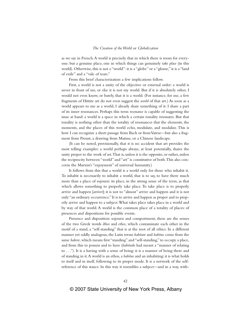as we say in French.A world is precisely that in which there is room for everyone: but a genuine place, one in which things can genuinely *take place* (in this world). Otherwise, this is not a "world": it is a "globe" or a "glome," it is a "land of exile" and a "vale of tears."

From this brief characterization a few implications follow.

First, a world is not a unity of the objective or external order: a world is never in front of me, or else it is not my world. But if it is absolutely other, I would not even know, or barely, that it is a world. (For instance, for me, a few fragments of Hittite art do not even suggest the *world* of that art.) As soon as a world appears to me as a world, I already share something of it: I share a part of its inner resonances. Perhaps this term *resonance* is capable of suggesting the issue at hand: a world is a space in which a certain tonality resonates. But that tonality is nothing other than the totality of resonances that the elements, the moments, and the places of this world echo, modulate, and modalize. This is how I can recognize a short passage from Bach or from Varese—but also a fragment from Proust, a drawing from Matisse, or a Chinese landscape.

(It can be noted, provisionally, that it is no accident that art provides the most telling examples: a world perhaps always, at least potentially, shares the unity proper to the work of art.That is, unless it is the opposite, or rather, unless the reciprocity between "world" and "art" is constitutive of both.This also concerns the Marxist's "enjoyment" of universal humanity.)

It follows from this that a world is a world only for those who inhabit it. To inhabit is necessarily to inhabit a world, that is to say, to have there much more than a place of sojourn: its place, in the strong sense of the term, as that which allows something to properly take place. To take place is to properly arrive and happen [*arriver*]; it is not to "almost" arrive and happen and it is not only "an ordinary occurrence." It is to arrive and happen as proper and to properly arrive and happen to a subject.What takes place takes place in a world and by way of that world. A world is the common place of a totality of places: of presences and dispositions for possible events.

Presence and disposition: sojourn and comportment, these are the senses of the two Greek words *ethos \* and *ethos*, which contaminate each other in the motif of a stand, a "self-standing" that is at the root of all ethics. In a different manner yet oddly analogous, the Latin terms *habitare* and *habitus* come from the same *habere*, which means first "standing" and "self-standing," to occupy a place, and from this to possess and to have (*habitudo* had meant a "manner of relating to . . ."). It is a having with a sense of being: it is a manner of being there and of standing in it.A world is an ethos, a *habitus* and an inhabiting: it is what holds to itself and in itself, following to its proper mode. It is a network of the selfreference of this stance. In this way it resembles a subject—and in a way, with-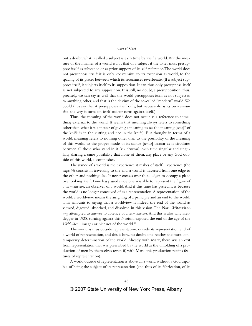out a doubt, what is called a subject is each time by itself a world. But the measure or the manner of a world is not that of a subject if the latter must presuppose itself as substance or as prior support of its self-reference.The world does not presuppose itself: it is only coextensive to its extension as world, to the spacing of its places between which its resonances reverberate. (If a subject supposes itself, it subjects itself to its supposition. It can thus only presuppose itself as not subjected to any supposition. It is still, no doubt, a presupposition: thus, precisely, we can say as well that the world presupposes itself as not subjected to anything other, and that is the destiny of the so-called "modern" world.We could thus say that it presupposes itself only, but necessarily, as its own *revolution*: the way it turns on itself and/or turns against itself.)

Thus, the meaning of the world does not occur as a reference to something external to the world. It seems that meaning always refers to something other than what it is a matter of giving a meaning to (as the meaning [*sens*] <sup>15</sup> of the knife is in the cutting and not in the knife). But thought in terms of a world, meaning refers to nothing other than to the possibility of the meaning of this world, to the proper mode of its stance [*tenue*] insofar as it circulates between all those who stand in it [*s'y tiennent*], each time singular and singularly sharing a same possibility that none of them, any place or any God outside of this world, accomplishes.

The stance of a world is the experience it makes of itself. Experience (the *experiri*) consists in traversing to the end: a world is traversed from one edge to the other, and nothing else. It never crosses over these edges to occupy a place overlooking itself.Time has passed since one was able to represent the figure of a *cosmotheoros*, an observer of a world. And if this time has passed, it is because the world is no longer conceived of as a representation.A representation of the world, a worldview, means the assigning of a principle and an end to the world. This amounts to saying that a worldview is indeed the end of the world as viewed, digested, absorbed, and dissolved in this vision.The Nazi *Weltanschauung* attempted to answer to absence of a *cosmotheoros*.And this is also why Heidegger in 1938, turning against this Nazism, exposed the end of the age of the *Weltbilder*—images or pictures of the world.<sup>16</sup>

The world is thus outside representation, outside its representation and of a world of representation, and this is how, no doubt, one reaches the most contemporary determination of the world. Already with Marx, there was an exit from representation that was prescribed by the world as the unfolding of a production of men by themselves (even if, with Marx, this production retains features of representation).

A world outside of representation is above all a world without a God capable of being the subject of its representation (and thus of its fabrication, of its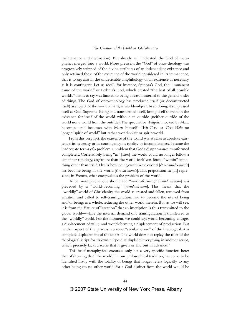maintenance and destination). But already, as I indicated, the God of metaphysics merged into a world. More precisely, the "God" of onto-theology was progressively stripped of the divine attributes of an independent existence and only retained those of the existence of the world considered in its immanence, that is to say, also in the undecidable amphibology of an existence as necessary as it is contingent. Let us recall, for instance, Spinoza's God, the "immanent cause of the world," or Leibniz's God, which created "the best of all possible worlds," that is to say, was limited to being a reason internal to the general order of things. The God of onto-theology has produced itself (or deconstructed itself) as subject of the world, that is, as world-subject. In so doing, it suppressed itself as God-Supreme-Being and transformed itself, losing itself therein, in the existence for-itself of the world without an outside (neither outside of the world nor a world from the outside).The speculative *Weltgeist* mocked by Marx becomes—and becomes with Marx himself—*Welt-Geist* or *Geist-Welt*: no longer "spirit of world" but rather world-spirit or spirit-world.

From this very fact, the existence of the world was at stake as absolute existence: its necessity or its contingency, its totality or incompleteness, became the inadequate terms of a problem,a problem that God's disappearance transformed completely. Correlatively, being "in" [*dans*] the world could no longer follow a container topology, any more than the world itself was found "within" something other than itself.This is how being-within-the-world [*être-dans-le-monde*] has become being-in-the-world [*être-au-monde*].This preposition *au* [in] represents, in French, what encapsulates the problem of the world.

To be more precise, one should add:"world-forming" [*mondialisation*] was preceded by a "world-becoming" [*mondanisation*]. This means that the "worldly" world of Christianity, the world as created and fallen, removed from salvation and called to self-transfiguration, had to become the site of being and/or beings as a whole, reducing the other world therein. But, as we will see, it is from the feature of "creation" that an inscription is thus transmitted to the global world—while the internal demand of a transfiguration is transferred to the "worldly" world. For the moment, we could say: world-becoming engages a displacement of value, and world-forming a displacement of production. But neither aspect of the process is a mere "secularization" of the theological: it is complete displacement of the stakes.The world does not replay the roles of the theological script for its own purpose: it displaces everything in another script, which precisely lacks a scene that is given or laid out in advance.<sup>17</sup>

This brief metaphysical excursus only has a very specific function here: that of showing that "the world," in our philosophical tradition, has come to be identified firstly with the totality of beings that longer refers logically to any other being (to no other world: for a God distinct from the world would be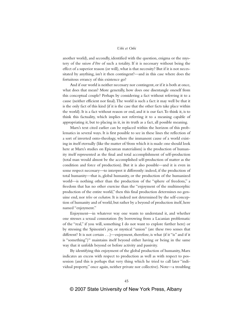another world), and secondly, identified with the question, enigma or the mystery of the *raison d'être* of such a totality. If it is necessary without being the effect of a superior reason (or will), what is that necessity? But if it is not necessitated by anything, isn't it then contingent?—and in this case where does the fortuitous errancy of this existence go?

And if our world is neither necessary nor contingent, or if it is both at once, what does that mean? More generally, how does one disentangle oneself from this conceptual couple? Perhaps by considering a fact without referring it to a cause (neither efficient nor final).The world is such a fact: it may well be that it is the only fact of this kind (if it is the case that the other facts take place within the world). It is a fact without reason or end, and it is our fact.To think it, is to think this factuality, which implies not referring it to a meaning capable of appropriating it, but to placing in it, in its truth as a fact, all possible meaning.

Marx's text cited earlier can be replaced within the horizon of this problematics in several ways. It is first possible to see in these lines the reflection of a sort of inverted onto-theology, where the immanent cause of a world existing in itself eternally (like the matter of/from which it is made: one should look here at Marx's studies on Epicurean materialism) is the production of humanity itself represented as the final and total accomplishment of self-production (total man would almost be the accomplished self-production of matter as the condition and force of production). But it is also possible—and it is even in some respect necessary—to interpret it differently: indeed, if the production of total humanity—that is, global humanity, or the production of the humanized world—is nothing other than the production of the "sphere of freedom," a freedom that has no other exercise than the "enjoyment of the multimorphic production of the entire world," then this final production determines no genuine end, nor *telos* or *eschaton*. It is indeed not determined by the self-conception of humanity and of world, but rather by a beyond of production itself, here named "enjoyment."

Enjoyment—in whatever way one wants to understand it, and whether one stresses a sexual connotation (by borrowing from a Lacanian problematic of the "real," if you will, something I do not want to explore further here) or by stressing the Spinozist's joy, or mystical "union" (are these two senses that different? It is not certain . . .)—enjoyment, therefore, is what (if it "is" and if it is "something")18 maintains itself beyond either having or being in the same way that it unfolds beyond or before activity and passivity.

By identifying this enjoyment of the global production of humanity, Marx indicates an excess with respect to production as well as with respect to possession (and this is perhaps that very thing which he tried to call later "individual property," once again, neither private nor collective). Note—a troubling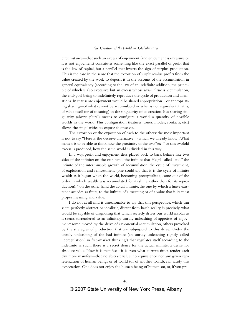circumstance—that such an excess of enjoyment (and enjoyment is excessive or it is not enjoyment) constitutes something like the exact parallel of profit that is the law of capital, but a parallel that inverts the sign of surplus-production. This is the case in the sense that the extortion of surplus-value profits from the value created by the work to deposit it in the account of the accumulation in general equivalency (according to the law of an indefinite addition, the principle of which is also excessive, but an excess whose *raison d'être* is accumulation, the end/goal being to indefinitely reproduce the cycle of production and alienation). In that sense enjoyment would be shared appropriation—or appropriating sharing—of what cannot be accumulated or what is not equivalent, that is, of value itself (or of meaning) in the singularity of its creation. But sharing singularity (always plural) means to configure a world, a quantity of possible worlds in the world.This configuration (features, tones, modes, contacts, etc.) allows the singularities to expose themselves.

The extortion or the exposition of each to the others: the most important is not to say,"Here is the decisive alternative!" (which we already know).What matters is to be able to think how the proximity of the two "ex-,"or this twofold excess is produced, how the same world is divided in this way.

In a way, profit and enjoyment thus placed back to back behave like two sides of the infinite: on the one hand, the infinite that Hegel called "bad," the infinite of the interminable growth of accumulation, the cycle of investment, of exploitation and reinvestment (one could say that it is the cycle of infinite wealth as it began when the world, becoming precapitalistic, came out of the order in which wealth was accumulated for its shine rather than for its reproduction), $19$  on the other hand the actual infinite, the one by which a finite existence accedes, as finite, to the infinite of a meaning or of a value that is its most proper meaning and value.

I do not at all find it unreasonable to say that this perspective, which can seem perfectly abstract or idealistic, distant from harsh reality, is precisely what would be capable of diagnosing that which secretly drives our world insofar as it seems surrendered to an infinitely unruly unleashing of appetites of enjoyment: some moved by the drive of exponential accumulation, others provoked by the strategies of production that are subjugated to this drive. Under the unruly unleashing of the bad infinite (an unruly unleashing rightly called "deregulation" in free-market thinking!) that regulates itself according to the indefinite as such, there is a secret desire for the actual infinite: a desire for absolute value. Now it is manifest—it is even what current times render each day more manifest—that no abstract value, no equivalence nor any given representation of human beings or of world (or of another world), can satisfy this expectation. One does not enjoy the human being of humanism, or, if you pre-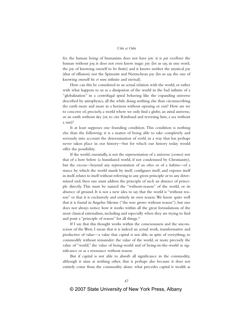fer, the human being of humanism does not have joy: it is *par excellence* the human without joy, it does not even know tragic joy (let us say, in one word, the joy of knowing oneself to be finite) and it knows neither the mystical joy (that of effusion) nor the Spinozist and Nietzschean joy (let us say, the one of knowing oneself *hic et nunc* infinite and eternal).

How can this be considered in an actual relation with the world, or rather with what happens to us as a dissipation of the world in the bad infinite of a "globalization" in a centrifugal spiral behaving like the expanding universe described by astrophysics, all the while doing nothing else than circumscribing the earth more and more in a horizon without opening or exit? How are we to conceive of, precisely, a world where we only find a globe, an astral universe, or an earth without sky (or, to cite Rimbaud and reversing him, a sea without a sun)?

It at least supposes one founding condition. This condition is nothing else than the following: it is a matter of being able to take completely and seriously into account the determination of *world*, in a way that has perhaps never taken place in our history—but for which our history today would offer the possibility.

If the world, essentially, is not the representation of a universe (*cosmos*) nor that of a here below (a humiliated world, if not condemned by Christianity), but the excess—beyond any representation of an *ethos* or of a *habitus*—of a stance by which the world stands by itself, configures itself, and exposes itself in itself, relates to itself without referring to any given principle or to any determined end, then one must address the principle of such an absence of principle directly. This must be named the "without-reason" of the world, or its absence of ground. It is not a new idea to say that the world is "without reason" or that it is exclusively and entirely its own reason.We know quite well that it is found in Angelus Silesius ("the rose grows without reason"), but one does not always notice how it works within all the great formulations of the most classical rationalism, including and especially when they are trying to find and posit a "principle of reason" for all things. $20$ 

If I say that this thought works within the consciousness and the unconscious of the West, I mean that it is indeed an actual work, transformative and productive of value—a value that capital is not able, in spite of everything, to commodify without remainder: the value of the world, or more precisely the value of "world," the value of being-world and of being-in-the-world as significance or as a resonance without reason.

But if capital is not able to absorb all significance in the commodity, although it aims at nothing other, that is perhaps also because it does not entirely come from the commodity alone: what precedes capital is wealth as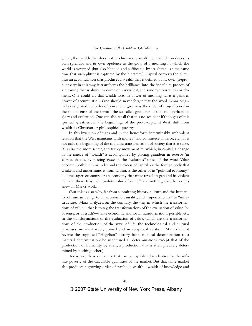glitter, the wealth that does not produce more wealth, but which produces its own splendor and its own opulence as the glow of a meaning in which the world is wrapped (but also blinded and suffocated by its glitter—at the same time that such glitter is captured by the hierarchy). Capital converts the glitter into an accumulation that produces a wealth that is defined by its own (re)productivity: in this way, it transforms the brilliance into the indefinite process of a meaning that is always to come or always lost, and synonymous with enrichment. One could say that wealth loses in power of meaning what it gains as power of accumulation. One should never forget that the word *wealth* originally designated the order of power and greatness, the order of magnificence in the noble sense of the term:<sup>21</sup> the so-called grandeur of the soul, perhaps its glory and exaltation. One can also recall that it is no accident if the signs of this spiritual greatness, in the beginnings of the proto-capitalist West, shift from wealth to Christian or philosophical poverty.

In this inversion of signs and in the henceforth interminably ambivalent relation that the West maintains with money (and commerce, finance, etc.), it is not only the beginning of the capitalist transformation of society that is at stake. It is also the more secret, and tricky movement by which, in capital, a change in the nature of "wealth" is accompanied by placing grandeur in reserve (in secret), that is, by placing *value* in the "valorous" sense of the word. Value becomes both the remainder and the excess of capital, or the foreign body that weakens and undermines it from within, as the other of its "political economy," like the super-economy or an-economy that must reveal its gap and its violent demand there. It is that absolute value of value,<sup>22</sup> and nothing else, that erupts anew in Marx's work.

(But this is also why, far from submitting history, culture and the humanity of human beings to an economic causality, and "superstructure" to "infrastructure," Marx analyzes, on the contrary, the way in which the transformations of value—that is to say, the transformations of the evaluation of value (or of sense, or of truth)—make economic and social transformations possible, etc. In the transformations of the evaluation of value, which are the transformations of the production of the ways of life, the technological and cultural processes are inextricably joined and in reciprocal relation. Marx did not reverse the supposed "Hegelian" history from an ideal determination to a material determination: he suppressed all determinations except that of the production of humanity by itself, a production that is itself precisely determined by nothing other.)

Today, wealth as a quantity that can be capitalized is identical to the infinite poverty of the calculable quantities of the market. But that same market also produces a growing order of symbolic wealth—wealth of knowledge and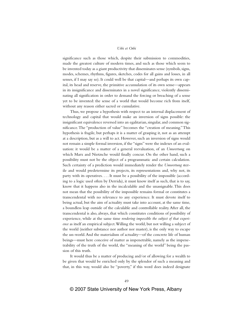significance such as those which, despite their submission to commodities, made the greatest culture of modern times, and such as those which seem to be invented today as a giant productivity that disseminates sense (symbols, signs, modes, schemes, rhythms, figures, sketches, codes for all gains and losses, in all senses, if I may say so). It could well be that capital—and perhaps its own capital, its head and reserve, the primitive accumulation of its own sense—appears in its insignificance and disseminates in a novel significance, violently disseminating all signification in order to demand the forcing or breaching of a sense yet to be invented: the sense of a world that would become rich from itself, without any reason either sacred or cumulative.

Thus, we propose a hypothesis with respect to an internal displacement of technology and capital that would make an inversion of signs possible: the insignificant equivalence reversed into an egalitarian, singular, and common significance.The "production of value" becomes the "creation of meaning."This hypothesis is fragile, but perhaps it is a matter of grasping it, not as an attempt at a description, but as a will to act. However, such an inversion of signs would not remain a simple formal inversion, if the "signs" were the indexes of an evaluation: it would be a matter of a general reevaluation, of an *Umwertun*g on which Marx and Nietzsche would finally concur. On the other hand, such a possibility must not be the object of a programmatic and certain calculation. Such certainty of a prediction would immediately render the *Umwertung* sterile and would predetermine its projects, its representations and, why not, its party with its operatives. . . . It must be a possibility of the impossible (according to a logic used often by Derrida), it must know itself as such, that is to say, know that it happens also in the incalculable and the unassignable. This does not mean that the possibility of the impossible remains formal or constitutes a transcendental with no relevance to any experience. It must devote itself to being actual, but the aim of actuality must take into account, at the same time, a boundless leap outside of the calculable and controllable reality.After all, the transcendental is also, always, that which constitutes conditions of possibility of experience, while at the same time *rendering impossible the subject of that experience* as itself an empirical subject.Willing the world, but not willing a subject of the world (neither substance nor author nor master), is the only way to escape the un-world.And the materialism of actuality—of the concrete life of human beings—must here conceive of matter as impenetrable, namely as the impenetrability of the truth of the world, the "meaning of the world" being the passion of this truth.

It would thus be a matter of producing and/or of allowing for a wealth to be given that would be enriched only by the splendor of such a meaning and that, in this way, would also be "poverty," if this word does indeed designate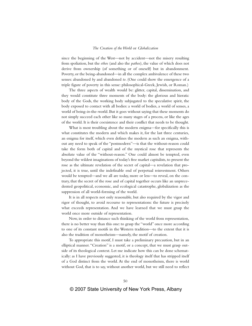since the beginning of the West—not by accident—not the misery resulting from spoliation, but the *ethos* (and also the *pathos*), the value of which does not derive from ownership (of something or of oneself) but in abandonment. Poverty, or the being-abandoned—in all the complex ambivalence of these two senses: abandoned *by* and abandoned *to*. (One could show the emergence of a triple figure of poverty in this sense: philosophical-Greek, Jewish, or Roman.)

The three aspects of wealth would be: glitter, capital, dissemination, and they would constitute three moments of the body: the glorious and hieratic body of the Gods, the working body subjugated to the speculative spirit, the body exposed to contact with all bodies: a world of bodies, a world of senses, a world of being-*in*-the-world. But it goes without saying that these moments do not simply succeed each other like so many stages of a process, or like the ages of the world. It is their coexistence and their conflict that needs to be thought.

What is most troubling about the modern enigma—for specifically this is what constitutes the modern and which makes it, for the last three centuries, an enigma for itself, which even defines the modern as such an enigma, without any need to speak of the "postmodern"—is that the without-reason could take the form both of capital and of the mystical rose that represents the absolute value of the "without-reason." One could almost be tempted, even beyond the wildest imaginations of today's free market capitalists, to present the rose as the ultimate revelation of the secret of capital—a revelation that projected, it is true, until the indefinable end of perpetual reinvestment. Others would be tempted—and we all are today, more or less—to reveal, on the contrary, that the secret of the rose and of capital together occurs like an unprecedented geopolitical, economic, and ecological catastrophe, globalization as the suppression of all world-forming of the world.

It is in all respects not only reasonable, but also required by the vigor and rigor of thought, to avoid recourse to representations: the future is precisely what exceeds representation. And we have learned that we must grasp the world once more outside of representation.

Now, in order to distance such thinking of the world from representation, there is no better way than this one: to grasp the "world" once more according to one of its constant motifs in the Western tradition—to the extent that it is also the tradition of monotheism—namely, the motif of creation.

To appropriate this motif, I must take a preliminary precaution, but in an elliptical manner."Creation" is a motif, or a concept, that we must grasp outside of its theological context. Let me indicate how this can be done schematically: as I have previously suggested, it is theology itself that has stripped itself of a God distinct from the world. At the end of monotheism, there is world without God, that is to say, without another world, but we still need to reflect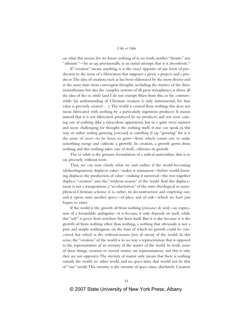on what this means, for we know nothing of it, no truth, neither "theistic" nor "atheistic"—let us say, provisionally, as an initial attempt, that it is *absentheistic*. 23

If "creation" means anything, it is the exact opposite of any form of production in the sense of a fabrication that supposes a given, a project, and a producer.The idea of creation, such as has been elaborated by the most diverse and at the same time most convergent thoughts, including the mystics of the three monotheisms but also the complex systems of all great metaphysics, is above all the idea of the *ex nihilo* (and I do not exempt Marx from this, to the contrary: while his understanding of Christian creation is only instrumental, for him value is precisely created . . .).The world is created from nothing: this does not mean fabricated with nothing by a particularly ingenious producer. It means instead that it is not fabricated, produced by no producer, and not even coming out of nothing (like a miraculous apparition), but in a quite strict manner and more challenging for thought: the nothing itself, if one can speak in this way, or rather *nothing* growing [*croissant*] as *something* (I say "growing" for it is the sense of *cresco*—to be born, to grow—from which comes *creo*: to make something merge and cultivate a growth). In creation, a growth grows from nothing and this nothing takes care of itself, cultivates its growth.

The *ex nihilo* is the genuine formulation of a radical materialism, that is to say, precisely, without roots.

Thus, we can now clarify what we said earlier: if the world-becoming (detheologization) displaces value—makes it immanent—before world-forming displaces the production of value—making it universal—the two together displace "creation" into the "without-reason" of the world.And this displacement is not a transposition, a "secularization" of the onto-theological or metaphysical-Christian scheme: it is, rather, its deconstruction and emptying out, and it opens onto another space—of place and of risk—which we have just begun to enter.

If the world is the growth of/from nothing [*croissance de rien*]—an expression of a formidable ambiguity—it is because it only depends on itself, while this "self" is given from nowhere but from itself. But it is also because it is the growth of/from nothing other than nothing, a nothing that obviously is not a pure and simple nothingness, on the basis of which no growth could be conceived, but which is the without-reason [*rien de raison*] of the world. In this sense, the "creation" of the world is in no way a representation that is opposed to the representation of an eternity of the matter of the world. In truth, none of these things, creation or eternal matter, are representations, and this is why they are not opposites.The eternity of matter only means that there is nothing outside the world, no other world, and no space-time that would not be that of "our" world.This eternity is the eternity of space-time, absolutely. Creation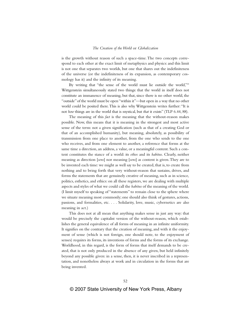is the growth without reason of such a space-time. The two concepts correspond to each other at the exact limit of metaphysics and physics: and this limit is not one that separates two worlds, but one that shares out the indefiniteness of the universe (or the indefiniteness of its expansion, as contemporary cosmology has it) and the infinity of its meaning.

By writing that "the sense of the world must lie outside the world,"24 Wittgenstein simultaneously stated two things: that the world in itself does not constitute an immanence of meaning, but that, since there is no other world, the "outside"of the world must be open "within it"—but open in a way that no other world could be posited there.This is also why Wittgenstein writes further:"It is not *how* things are in the world that is mystical, but *that* it exists" (TLP 6.44, 88).

The meaning of this *fact* is the meaning that the without-reason makes possible. Now, this means that it is meaning in the strongest and most active sense of the term: not a given signification (such as that of a creating God or that of an accomplished humanity), but meaning, absolutely, as possibility of transmission from one place to another, from the one who sends to the one who receives, and from one element to another, a reference that forms at the same time a direction, an address, a value, or a meaningful content. Such a content constitutes the stance of a world: its *ethos* and its *habitus*. Clearly, neither meaning as direction [*sens*] nor meaning [*sens*] as content is given.They are to be invented each time: we might as well say to be created, that is, to create from nothing and to bring forth that very without-reason that sustains, drives, and forms the statements that are genuinely creative of meaning, such as in science, politics, esthetics, and ethics: on all these registers, we are dealing with multiple aspects and styles of what we could call the *habitus* of the meaning of the world. (I limit myself to speaking of "statements" to remain close to the sphere where we situate meaning most commonly; one should also think of gestures, actions, passions, and formalities, etc.... Solidarity, love, music, cybernetics are also meaning in act.)

This does not at all mean that anything makes sense in just any way: that would be precisely the capitalist version of the without-reason, which establishes the general equivalence of all forms of meaning in an infinite uniformity. It signifies on the contrary that the creation of meaning, and with it the enjoyment of sense (which is not foreign, one should note, to the enjoyment of senses) requires its forms, its inventions of forms and the forms of its exchange. Worldhood, in this regard, is the form of forms that itself demands to be created, that is not only produced in the absence of any given, but held infinitely beyond any possible given: in a sense, then, it is never inscribed in a representation, and nonetheless always at work and in circulation in the forms that are being invented.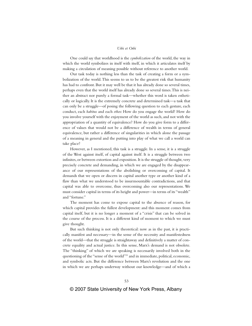One could say that worldhood is the *symbolization* of the world, the way in which the world symbolizes in itself with itself, in which it articulates itself by making a circulation of meaning possible without reference to another world.

Our task today is nothing less than the task of creating a form or a symbolization of the world.This seems to us to be the greatest risk that humanity has had to confront. But it may well be that it has already done so several times, perhaps even that the world itself has already done so several times.This is neither an abstract nor purely a formal task—whether this word is taken esthetically or logically. It is the extremely concrete and determined task—a task that can only be a struggle—of posing the following question to each gesture, each conduct, each *habitus* and each *ethos*: How do you engage the world? How do you involve yourself with the enjoyment of the world as such, and not with the appropriation of a quantity of equivalence? How do you give form to a difference of values that would not be a difference of wealth in terms of general equivalence, but rather a difference of singularities in which alone the passage of a meaning in general and the putting into play of what we call a world can take place?

However, as I mentioned, this task is a struggle. In a sense, it is a struggle of the West against itself, of capital against itself. It is a struggle between two infinites, or between extortion and exposition. It is the struggle of thought, very precisely concrete and demanding, in which we are engaged by the disappearance of our representations of the abolishing or overcoming of capital. It demands that we open or discern in capital another type or another kind of a flaw than what we understood to be insurmountable contradictions, and that capital was able to overcome, thus overcoming also our representations. We must consider capital in terms of its height and power—in terms of its "wealth" and "fortune."

The moment has come to expose capital to the absence of reason, for which capital provides the fullest development: and this moment comes from capital itself, but it is no longer a moment of a "crisis" that can be solved in the course of the process. It is a different kind of moment to which we must give thought.

But such thinking is not only theoretical: now as in the past, it is practically manifest and necessary—in the sense of the necessity and manifestedness of the world—that the struggle is straightaway and definitively a matter of concrete equality and actual justice. In this sense, Marx's demand is not obsolete. The "thinking" of which we are speaking is necessarily involved both in the questioning of the "sense of the world"<sup>25</sup> and in immediate, political, economic, and symbolic acts. But the difference between Marx's revolution and the one in which we are perhaps underway without our knowledge—and of which a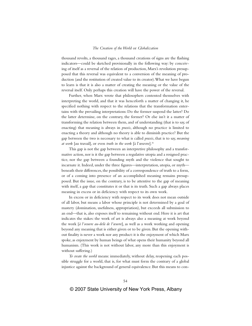thousand revolts, a thousand rages, a thousand creations of signs are the flashing indicators—could be sketched provisionally in the following way: by conceiving of itself as a reversal of the relation of production, Marx's revolution presupposed that this reversal was equivalent to a conversion of the meaning of production (and the restitution of created value to its creator).What we have begun to learn is that it is also a matter of creating the meaning or the value of the reversal itself. Only perhaps this creation will have the power of the reversal.

Further, when Marx wrote that philosophers contented themselves with interpreting the world, and that it was henceforth a matter of changing it, he specified nothing with respect to the relations that the transformation entertains with the prevailing interpretations: Do the former suspend the latter? Do the latter determine, on the contrary, the former? Or else isn't it a matter of transforming the relation between them, and of understanding (that is to say, of enacting) that meaning is always in *praxis*, although no practice is limited to enacting a theory and although no theory is able to diminish practice? But the gap between the two is necessary to what is called *praxis*, that is to say, *meaning at work* [au travail], or even *truth in the work* [à l'œuvre].26

This gap is not the gap between an interpretive philosophy and a transformative action, nor is it the gap between a regulative utopia and a resigned practice, nor the gap between a founding myth and the violence that sought to incarnate it. Indeed, under the three figures—interpretation, utopia, or myth beneath their differences, the possibility of a correspondence of truth to a form, or of a coming into presence of an accomplished meaning remains presupposed. But the issue, on the contrary, is to be attentive to the gap of meaning with itself, a gap that constitutes it or that is its truth. Such a gap always places meaning in excess or in deficiency with respect to its own work.

In excess or in deficiency with respect to its work does not mean outside of all labor, but means a labor whose principle is not determined by a goal of mastery (domination, usefulness, appropriation), but exceeds all submission to an end—that is, also exposes itself to remaining without end. Here it is art that indicates the stakes: the work of art is always also a meaning at work beyond the work [*à l'oeuvre au-delà de l'œuvre*], as well as a work working and opening beyond any meaning that is either given or to be given. But the opening without finality is never a work nor any product: it is the enjoyment of which Marx spoke, as enjoyment by human beings of what opens their humanity beyond all humanism. (This work is not without labor, any more than this enjoyment is without suffering.)

*To create the world* means: immediately, without delay, reopening each possible struggle for a world, that is, for what must form the contrary of a global injustice against the background of general equivalence. But this means to con-